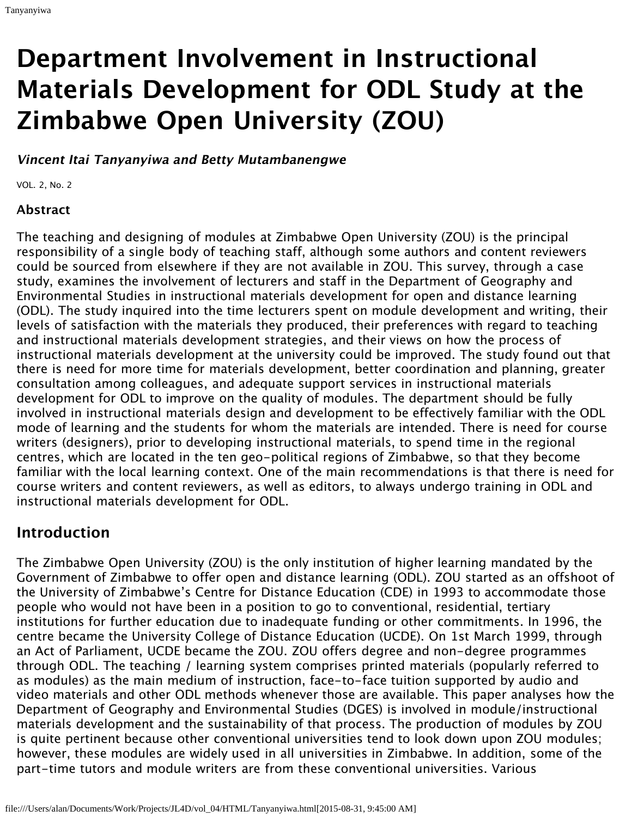# **Department Involvement in Instructional Materials Development for ODL Study at the Zimbabwe Open University (ZOU)**

**Vincent Itai Tanyanyiwa and Betty Mutambanengwe**

VOL. 2, No. 2

#### **Abstract**

The teaching and designing of modules at Zimbabwe Open University (ZOU) is the principal responsibility of a single body of teaching staff, although some authors and content reviewers could be sourced from elsewhere if they are not available in ZOU. This survey, through a case study, examines the involvement of lecturers and staff in the Department of Geography and Environmental Studies in instructional materials development for open and distance learning (ODL). The study inquired into the time lecturers spent on module development and writing, their levels of satisfaction with the materials they produced, their preferences with regard to teaching and instructional materials development strategies, and their views on how the process of instructional materials development at the university could be improved. The study found out that there is need for more time for materials development, better coordination and planning, greater consultation among colleagues, and adequate support services in instructional materials development for ODL to improve on the quality of modules. The department should be fully involved in instructional materials design and development to be effectively familiar with the ODL mode of learning and the students for whom the materials are intended. There is need for course writers (designers), prior to developing instructional materials, to spend time in the regional centres, which are located in the ten geo-political regions of Zimbabwe, so that they become familiar with the local learning context. One of the main recommendations is that there is need for course writers and content reviewers, as well as editors, to always undergo training in ODL and instructional materials development for ODL.

## **Introduction**

The Zimbabwe Open University (ZOU) is the only institution of higher learning mandated by the Government of Zimbabwe to offer open and distance learning (ODL). ZOU started as an offshoot of the University of Zimbabwe's Centre for Distance Education (CDE) in 1993 to accommodate those people who would not have been in a position to go to conventional, residential, tertiary institutions for further education due to inadequate funding or other commitments. In 1996, the centre became the University College of Distance Education (UCDE). On 1st March 1999, through an Act of Parliament, UCDE became the ZOU. ZOU offers degree and non-degree programmes through ODL. The teaching / learning system comprises printed materials (popularly referred to as modules) as the main medium of instruction, face-to-face tuition supported by audio and video materials and other ODL methods whenever those are available. This paper analyses how the Department of Geography and Environmental Studies (DGES) is involved in module/instructional materials development and the sustainability of that process. The production of modules by ZOU is quite pertinent because other conventional universities tend to look down upon ZOU modules; however, these modules are widely used in all universities in Zimbabwe. In addition, some of the part-time tutors and module writers are from these conventional universities. Various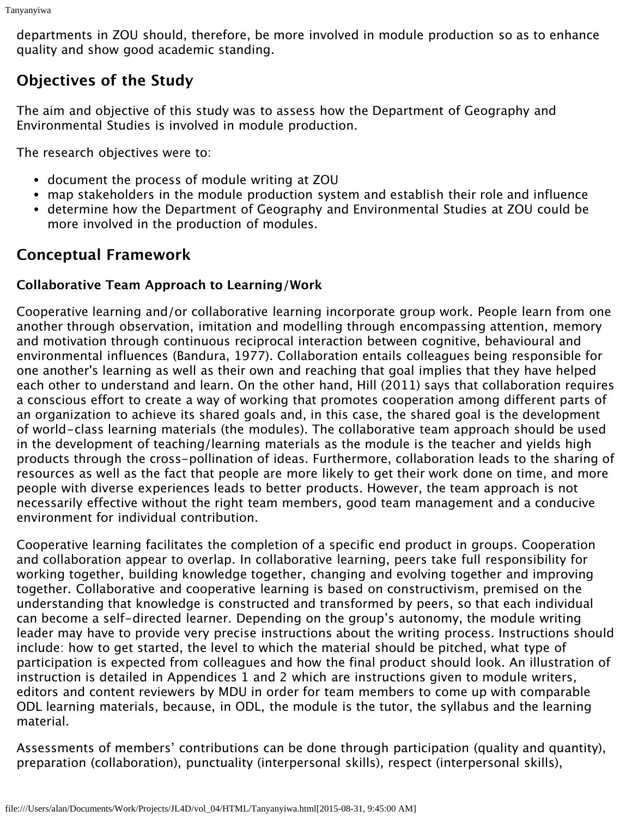departments in ZOU should, therefore, be more involved in module production so as to enhance quality and show good academic standing.

# **Objectives of the Study**

The aim and objective of this study was to assess how the Department of Geography and Environmental Studies is involved in module production.

The research objectives were to:

- document the process of module writing at ZOU
- map stakeholders in the module production system and establish their role and influence
- determine how the Department of Geography and Environmental Studies at ZOU could be more involved in the production of modules.

# **Conceptual Framework**

## **Collaborative Team Approach to Learning/Work**

Cooperative learning and/or collaborative learning incorporate group work. People learn from one another through observation, imitation and modelling through encompassing attention, memory and motivation through continuous reciprocal interaction between cognitive, behavioural and environmental influences (Bandura, 1977). Collaboration entails colleagues being responsible for one another's learning as well as their own and reaching that goal implies that they have helped each other to understand and learn. On the other hand, Hill (2011) says that collaboration requires a conscious effort to create a way of working that promotes cooperation among different parts of an organization to achieve its shared goals and, in this case, the shared goal is the development of world-class learning materials (the modules). The collaborative team approach should be used in the development of teaching/learning materials as the module is the teacher and yields high products through the cross-pollination of ideas. Furthermore, collaboration leads to the sharing of resources as well as the fact that people are more likely to get their work done on time, and more people with diverse experiences leads to better products. However, the team approach is not necessarily effective without the right team members, good team management and a conducive environment for individual contribution.

Cooperative learning facilitates the completion of a specific end product in groups. Cooperation and collaboration appear to overlap. In collaborative learning, peers take full responsibility for working together, building knowledge together, changing and evolving together and improving together. Collaborative and cooperative learning is based on constructivism, premised on the understanding that knowledge is constructed and transformed by peers, so that each individual can become a self-directed learner. Depending on the group's autonomy, the module writing leader may have to provide very precise instructions about the writing process. Instructions should include: how to get started, the level to which the material should be pitched, what type of participation is expected from colleagues and how the final product should look. An illustration of instruction is detailed in Appendices 1 and 2 which are instructions given to module writers, editors and content reviewers by MDU in order for team members to come up with comparable ODL learning materials, because, in ODL, the module is the tutor, the syllabus and the learning material.

Assessments of members' contributions can be done through participation (quality and quantity), preparation (collaboration), punctuality (interpersonal skills), respect (interpersonal skills),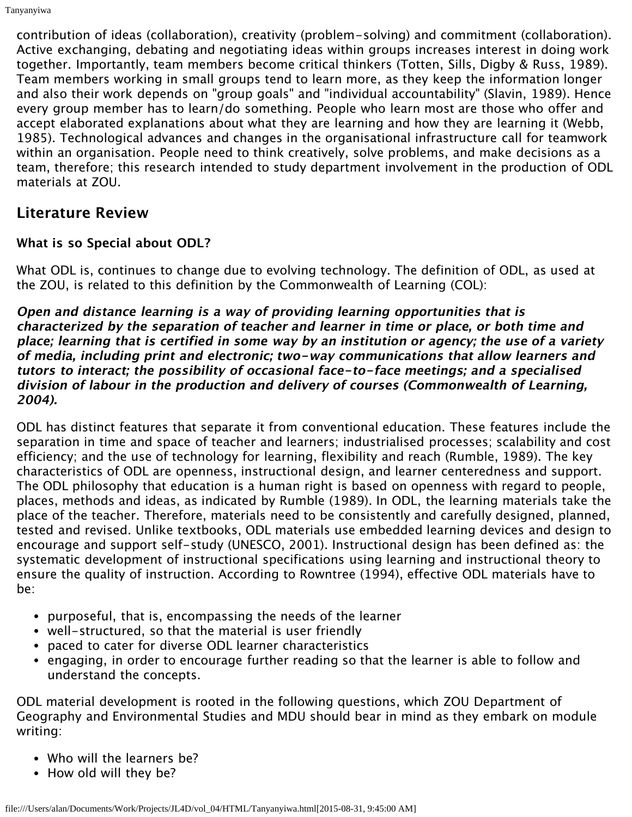contribution of ideas (collaboration), creativity (problem-solving) and commitment (collaboration). Active exchanging, debating and negotiating ideas within groups increases interest in doing work together. Importantly, team members become critical thinkers (Totten, Sills, Digby & Russ, 1989). Team members working in small groups tend to learn more, as they keep the information longer and also their work depends on "group goals" and "individual accountability" (Slavin, 1989). Hence every group member has to learn/do something. People who learn most are those who offer and accept elaborated explanations about what they are learning and how they are learning it (Webb, 1985). Technological advances and changes in the organisational infrastructure call for teamwork within an organisation. People need to think creatively, solve problems, and make decisions as a team, therefore; this research intended to study department involvement in the production of ODL materials at ZOU.

## **Literature Review**

#### **What is so Special about ODL?**

What ODL is, continues to change due to evolving technology. The definition of ODL, as used at the ZOU, is related to this definition by the Commonwealth of Learning (COL):

**Open and distance learning is a way of providing learning opportunities that is characterized by the separation of teacher and learner in time or place, or both time and place; learning that is certified in some way by an institution or agency; the use of a variety of media, including print and electronic; two-way communications that allow learners and tutors to interact; the possibility of occasional face-to-face meetings; and a specialised division of labour in the production and delivery of courses (Commonwealth of Learning, 2004).**

ODL has distinct features that separate it from conventional education. These features include the separation in time and space of teacher and learners; industrialised processes; scalability and cost efficiency; and the use of technology for learning, flexibility and reach (Rumble, 1989). The key characteristics of ODL are openness, instructional design, and learner centeredness and support. The ODL philosophy that education is a human right is based on openness with regard to people, places, methods and ideas, as indicated by Rumble (1989). In ODL, the learning materials take the place of the teacher. Therefore, materials need to be consistently and carefully designed, planned, tested and revised. Unlike textbooks, ODL materials use embedded learning devices and design to encourage and support self-study (UNESCO, 2001). Instructional design has been defined as: the systematic development of instructional specifications using learning and instructional theory to ensure the quality of instruction. According to Rowntree (1994), effective ODL materials have to be:

- purposeful, that is, encompassing the needs of the learner
- well-structured, so that the material is user friendly
- paced to cater for diverse ODL learner characteristics
- engaging, in order to encourage further reading so that the learner is able to follow and understand the concepts.

ODL material development is rooted in the following questions, which ZOU Department of Geography and Environmental Studies and MDU should bear in mind as they embark on module writing:

- Who will the learners be?
- How old will they be?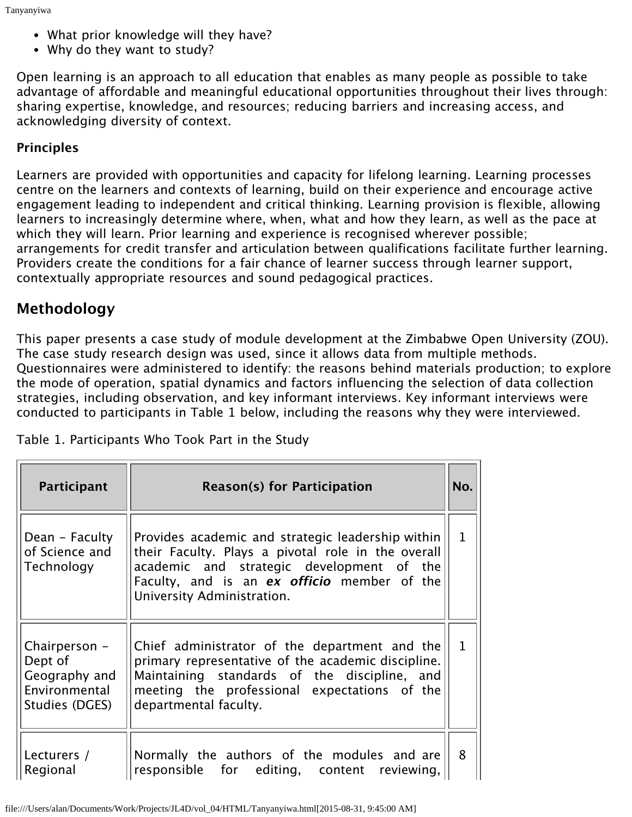- What prior knowledge will they have?
- Why do they want to study?

Open learning is an approach to all education that enables as many people as possible to take advantage of affordable and meaningful educational opportunities throughout their lives through: sharing expertise, knowledge, and resources; reducing barriers and increasing access, and acknowledging diversity of context.

#### **Principles**

Learners are provided with opportunities and capacity for lifelong learning. Learning processes centre on the learners and contexts of learning, build on their experience and encourage active engagement leading to independent and critical thinking. Learning provision is flexible, allowing learners to increasingly determine where, when, what and how they learn, as well as the pace at which they will learn. Prior learning and experience is recognised wherever possible; arrangements for credit transfer and articulation between qualifications facilitate further learning. Providers create the conditions for a fair chance of learner success through learner support, contextually appropriate resources and sound pedagogical practices.

## **Methodology**

This paper presents a case study of module development at the Zimbabwe Open University (ZOU). The case study research design was used, since it allows data from multiple methods. Questionnaires were administered to identify: the reasons behind materials production; to explore the mode of operation, spatial dynamics and factors influencing the selection of data collection strategies, including observation, and key informant interviews. Key informant interviews were conducted to participants in Table 1 below, including the reasons why they were interviewed.

| <b>Participant</b>                                                           | <b>Reason(s) for Participation</b>                                                                                                                                                                                                |              |  |
|------------------------------------------------------------------------------|-----------------------------------------------------------------------------------------------------------------------------------------------------------------------------------------------------------------------------------|--------------|--|
| Dean - Faculty<br>of Science and<br>Technology                               | Provides academic and strategic leadership within<br>their Faculty. Plays a pivotal role in the overall<br>academic and strategic development of the<br>Faculty, and is an ex officio member of the<br>University Administration. | $\mathbf{1}$ |  |
| Chairperson -<br>Dept of<br>Geography and<br>Environmental<br>Studies (DGES) | Chief administrator of the department and the<br>primary representative of the academic discipline.<br>Maintaining standards of the discipline, and<br>meeting the professional expectations of the<br>departmental faculty.      | $\mathbf{1}$ |  |
| Lecturers /<br>Regional                                                      | Normally the authors of the modules and are<br>responsible for editing, content reviewing,                                                                                                                                        | 8            |  |

Table 1. Participants Who Took Part in the Study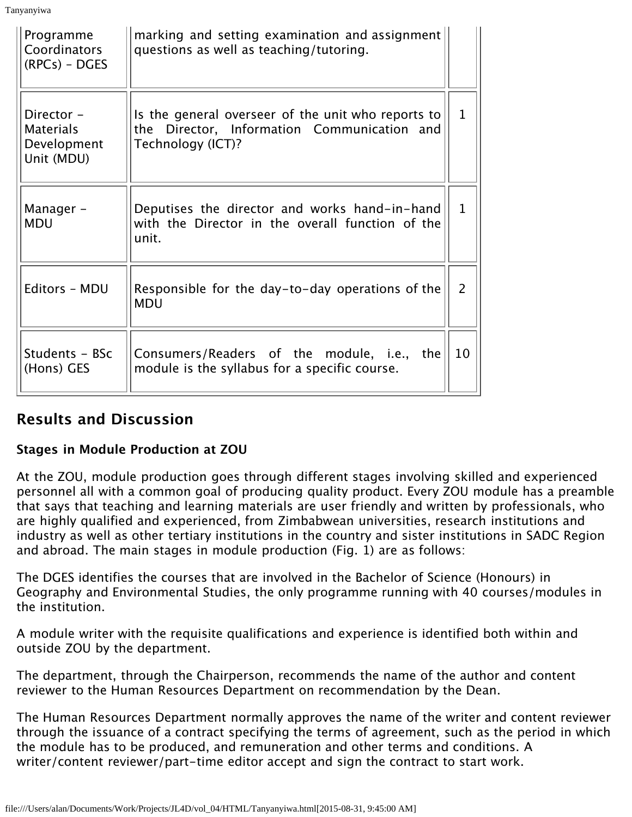Tanyanyiwa

| Programme<br>Coordinators<br>$(RPCs) - DGES$                | marking and setting examination and assignment<br>questions as well as teaching/tutoring.                              |              |
|-------------------------------------------------------------|------------------------------------------------------------------------------------------------------------------------|--------------|
| Director -<br><b>Materials</b><br>Development<br>Unit (MDU) | Is the general overseer of the unit who reports to<br>the Director, Information Communication and<br>Technology (ICT)? | $\mathbf{1}$ |
| Manager -<br><b>MDU</b>                                     | Deputises the director and works hand-in-hand<br>with the Director in the overall function of the<br>unit.             |              |
| Editors - MDU                                               | Responsible for the day-to-day operations of the<br><b>MDU</b>                                                         |              |
| Students - BSc<br>(Hons) GES                                | Consumers/Readers of the module, i.e., the<br>module is the syllabus for a specific course.                            |              |

## **Results and Discussion**

#### **Stages in Module Production at ZOU**

At the ZOU, module production goes through different stages involving skilled and experienced personnel all with a common goal of producing quality product. Every ZOU module has a preamble that says that teaching and learning materials are user friendly and written by professionals, who are highly qualified and experienced, from Zimbabwean universities, research institutions and industry as well as other tertiary institutions in the country and sister institutions in SADC Region and abroad. The main stages in module production (Fig. 1) are as follows:

The DGES identifies the courses that are involved in the Bachelor of Science (Honours) in Geography and Environmental Studies, the only programme running with 40 courses/modules in the institution.

A module writer with the requisite qualifications and experience is identified both within and outside ZOU by the department.

The department, through the Chairperson, recommends the name of the author and content reviewer to the Human Resources Department on recommendation by the Dean.

The Human Resources Department normally approves the name of the writer and content reviewer through the issuance of a contract specifying the terms of agreement, such as the period in which the module has to be produced, and remuneration and other terms and conditions. A writer/content reviewer/part-time editor accept and sign the contract to start work.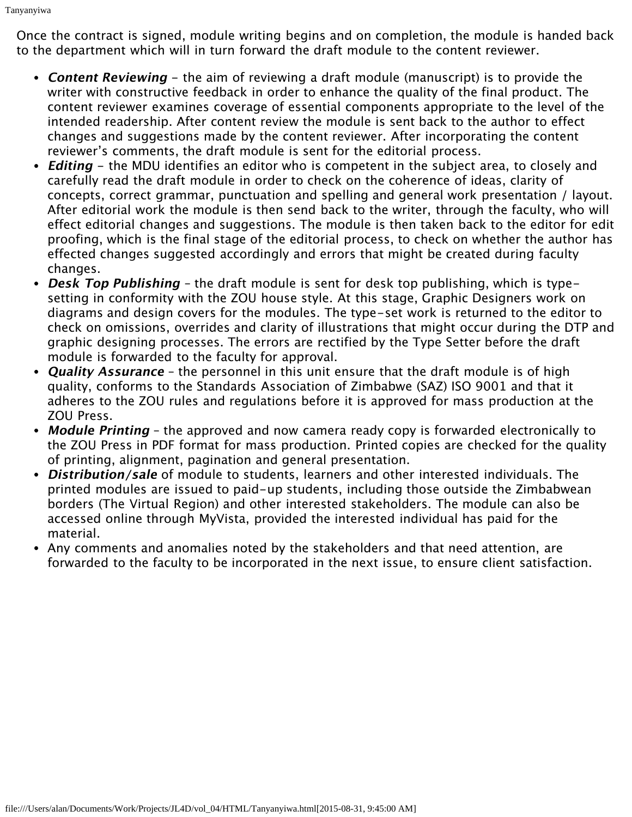Once the contract is signed, module writing begins and on completion, the module is handed back to the department which will in turn forward the draft module to the content reviewer.

- **Content Reviewing** the aim of reviewing a draft module (manuscript) is to provide the writer with constructive feedback in order to enhance the quality of the final product. The content reviewer examines coverage of essential components appropriate to the level of the intended readership. After content review the module is sent back to the author to effect changes and suggestions made by the content reviewer. After incorporating the content reviewer's comments, the draft module is sent for the editorial process.
- **Editing** the MDU identifies an editor who is competent in the subject area, to closely and carefully read the draft module in order to check on the coherence of ideas, clarity of concepts, correct grammar, punctuation and spelling and general work presentation / layout. After editorial work the module is then send back to the writer, through the faculty, who will effect editorial changes and suggestions. The module is then taken back to the editor for edit proofing, which is the final stage of the editorial process, to check on whether the author has effected changes suggested accordingly and errors that might be created during faculty changes.
- **Desk Top Publishing** the draft module is sent for desk top publishing, which is typesetting in conformity with the ZOU house style. At this stage, Graphic Designers work on diagrams and design covers for the modules. The type-set work is returned to the editor to check on omissions, overrides and clarity of illustrations that might occur during the DTP and graphic designing processes. The errors are rectified by the Type Setter before the draft module is forwarded to the faculty for approval.
- **Quality Assurance** the personnel in this unit ensure that the draft module is of high quality, conforms to the Standards Association of Zimbabwe (SAZ) ISO 9001 and that it adheres to the ZOU rules and regulations before it is approved for mass production at the ZOU Press.
- **Module Printing** the approved and now camera ready copy is forwarded electronically to the ZOU Press in PDF format for mass production. Printed copies are checked for the quality of printing, alignment, pagination and general presentation.
- **Distribution/sale** of module to students, learners and other interested individuals. The printed modules are issued to paid-up students, including those outside the Zimbabwean borders (The Virtual Region) and other interested stakeholders. The module can also be accessed online through MyVista, provided the interested individual has paid for the material.
- Any comments and anomalies noted by the stakeholders and that need attention, are forwarded to the faculty to be incorporated in the next issue, to ensure client satisfaction.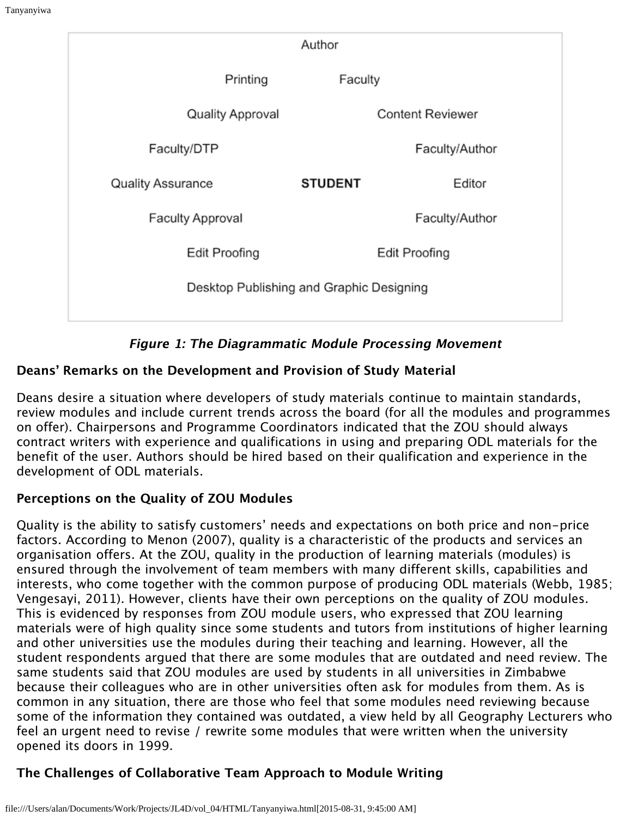| Author                                   |                         |                |                         |  |  |
|------------------------------------------|-------------------------|----------------|-------------------------|--|--|
|                                          | Printing                | Faculty        |                         |  |  |
|                                          | <b>Quality Approval</b> |                | <b>Content Reviewer</b> |  |  |
| Faculty/DTP                              |                         |                | Faculty/Author          |  |  |
| <b>Quality Assurance</b>                 |                         | <b>STUDENT</b> | Editor                  |  |  |
| <b>Faculty Approval</b>                  |                         |                | Faculty/Author          |  |  |
| Edit Proofing                            |                         |                | <b>Edit Proofing</b>    |  |  |
| Desktop Publishing and Graphic Designing |                         |                |                         |  |  |
|                                          |                         |                |                         |  |  |

**Figure 1: The Diagrammatic Module Processing Movement**

### **Deans' Remarks on the Development and Provision of Study Material**

Deans desire a situation where developers of study materials continue to maintain standards, review modules and include current trends across the board (for all the modules and programmes on offer). Chairpersons and Programme Coordinators indicated that the ZOU should always contract writers with experience and qualifications in using and preparing ODL materials for the benefit of the user. Authors should be hired based on their qualification and experience in the development of ODL materials.

## **Perceptions on the Quality of ZOU Modules**

Quality is the ability to satisfy customers' needs and expectations on both price and non-price factors. According to Menon (2007), quality is a characteristic of the products and services an organisation offers. At the ZOU, quality in the production of learning materials (modules) is ensured through the involvement of team members with many different skills, capabilities and interests, who come together with the common purpose of producing ODL materials (Webb, 1985; Vengesayi, 2011). However, clients have their own perceptions on the quality of ZOU modules. This is evidenced by responses from ZOU module users, who expressed that ZOU learning materials were of high quality since some students and tutors from institutions of higher learning and other universities use the modules during their teaching and learning. However, all the student respondents argued that there are some modules that are outdated and need review. The same students said that ZOU modules are used by students in all universities in Zimbabwe because their colleagues who are in other universities often ask for modules from them. As is common in any situation, there are those who feel that some modules need reviewing because some of the information they contained was outdated, a view held by all Geography Lecturers who feel an urgent need to revise / rewrite some modules that were written when the university opened its doors in 1999.

## **The Challenges of Collaborative Team Approach to Module Writing**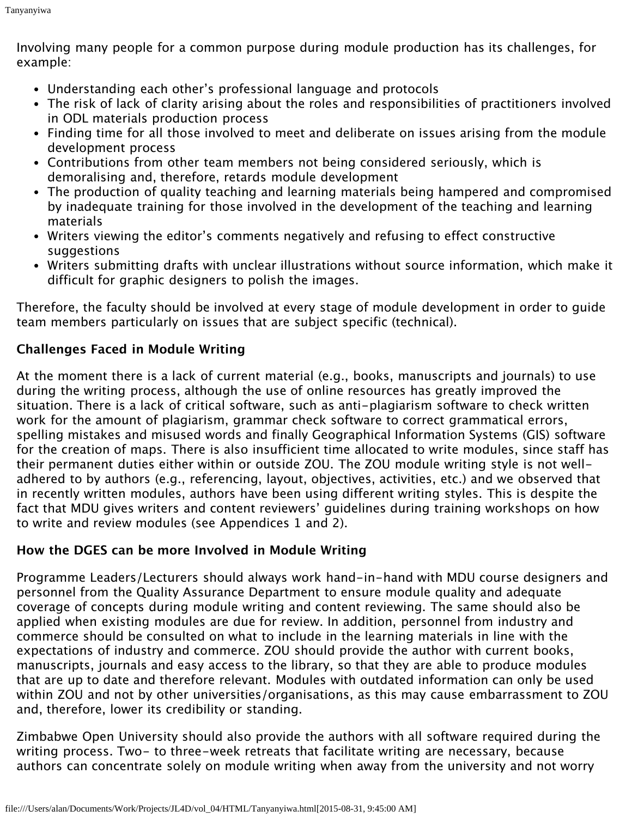Involving many people for a common purpose during module production has its challenges, for example:

- Understanding each other's professional language and protocols
- The risk of lack of clarity arising about the roles and responsibilities of practitioners involved in ODL materials production process
- Finding time for all those involved to meet and deliberate on issues arising from the module development process
- Contributions from other team members not being considered seriously, which is demoralising and, therefore, retards module development
- The production of quality teaching and learning materials being hampered and compromised by inadequate training for those involved in the development of the teaching and learning materials
- Writers viewing the editor's comments negatively and refusing to effect constructive suggestions
- Writers submitting drafts with unclear illustrations without source information, which make it difficult for graphic designers to polish the images.

Therefore, the faculty should be involved at every stage of module development in order to guide team members particularly on issues that are subject specific (technical).

#### **Challenges Faced in Module Writing**

At the moment there is a lack of current material (e.g., books, manuscripts and journals) to use during the writing process, although the use of online resources has greatly improved the situation. There is a lack of critical software, such as anti-plagiarism software to check written work for the amount of plagiarism, grammar check software to correct grammatical errors, spelling mistakes and misused words and finally Geographical Information Systems (GIS) software for the creation of maps. There is also insufficient time allocated to write modules, since staff has their permanent duties either within or outside ZOU. The ZOU module writing style is not welladhered to by authors (e.g., referencing, layout, objectives, activities, etc.) and we observed that in recently written modules, authors have been using different writing styles. This is despite the fact that MDU gives writers and content reviewers' guidelines during training workshops on how to write and review modules (see Appendices 1 and 2).

#### **How the DGES can be more Involved in Module Writing**

Programme Leaders/Lecturers should always work hand-in-hand with MDU course designers and personnel from the Quality Assurance Department to ensure module quality and adequate coverage of concepts during module writing and content reviewing. The same should also be applied when existing modules are due for review. In addition, personnel from industry and commerce should be consulted on what to include in the learning materials in line with the expectations of industry and commerce. ZOU should provide the author with current books, manuscripts, journals and easy access to the library, so that they are able to produce modules that are up to date and therefore relevant. Modules with outdated information can only be used within ZOU and not by other universities/organisations, as this may cause embarrassment to ZOU and, therefore, lower its credibility or standing.

Zimbabwe Open University should also provide the authors with all software required during the writing process. Two- to three-week retreats that facilitate writing are necessary, because authors can concentrate solely on module writing when away from the university and not worry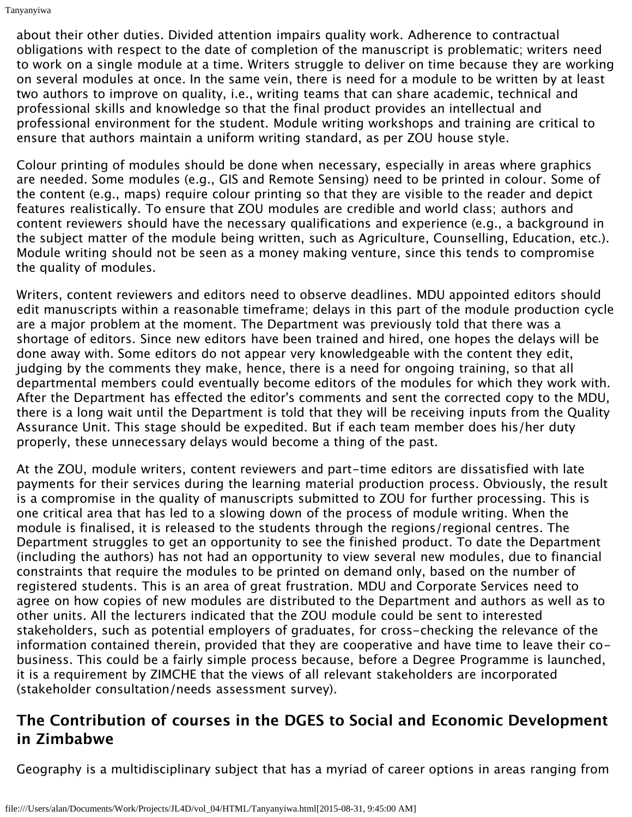about their other duties. Divided attention impairs quality work. Adherence to contractual obligations with respect to the date of completion of the manuscript is problematic; writers need to work on a single module at a time. Writers struggle to deliver on time because they are working on several modules at once. In the same vein, there is need for a module to be written by at least two authors to improve on quality, i.e., writing teams that can share academic, technical and professional skills and knowledge so that the final product provides an intellectual and professional environment for the student. Module writing workshops and training are critical to ensure that authors maintain a uniform writing standard, as per ZOU house style.

Colour printing of modules should be done when necessary, especially in areas where graphics are needed. Some modules (e.g., GIS and Remote Sensing) need to be printed in colour. Some of the content (e.g., maps) require colour printing so that they are visible to the reader and depict features realistically. To ensure that ZOU modules are credible and world class; authors and content reviewers should have the necessary qualifications and experience (e.g., a background in the subject matter of the module being written, such as Agriculture, Counselling, Education, etc.). Module writing should not be seen as a money making venture, since this tends to compromise the quality of modules.

Writers, content reviewers and editors need to observe deadlines. MDU appointed editors should edit manuscripts within a reasonable timeframe; delays in this part of the module production cycle are a major problem at the moment. The Department was previously told that there was a shortage of editors. Since new editors have been trained and hired, one hopes the delays will be done away with. Some editors do not appear very knowledgeable with the content they edit, judging by the comments they make, hence, there is a need for ongoing training, so that all departmental members could eventually become editors of the modules for which they work with. After the Department has effected the editor's comments and sent the corrected copy to the MDU, there is a long wait until the Department is told that they will be receiving inputs from the Quality Assurance Unit. This stage should be expedited. But if each team member does his/her duty properly, these unnecessary delays would become a thing of the past.

At the ZOU, module writers, content reviewers and part-time editors are dissatisfied with late payments for their services during the learning material production process. Obviously, the result is a compromise in the quality of manuscripts submitted to ZOU for further processing. This is one critical area that has led to a slowing down of the process of module writing. When the module is finalised, it is released to the students through the regions/regional centres. The Department struggles to get an opportunity to see the finished product. To date the Department (including the authors) has not had an opportunity to view several new modules, due to financial constraints that require the modules to be printed on demand only, based on the number of registered students. This is an area of great frustration. MDU and Corporate Services need to agree on how copies of new modules are distributed to the Department and authors as well as to other units. All the lecturers indicated that the ZOU module could be sent to interested stakeholders, such as potential employers of graduates, for cross-checking the relevance of the information contained therein, provided that they are cooperative and have time to leave their cobusiness. This could be a fairly simple process because, before a Degree Programme is launched, it is a requirement by ZIMCHE that the views of all relevant stakeholders are incorporated (stakeholder consultation/needs assessment survey).

# **The Contribution of courses in the DGES to Social and Economic Development in Zimbabwe**

Geography is a multidisciplinary subject that has a myriad of career options in areas ranging from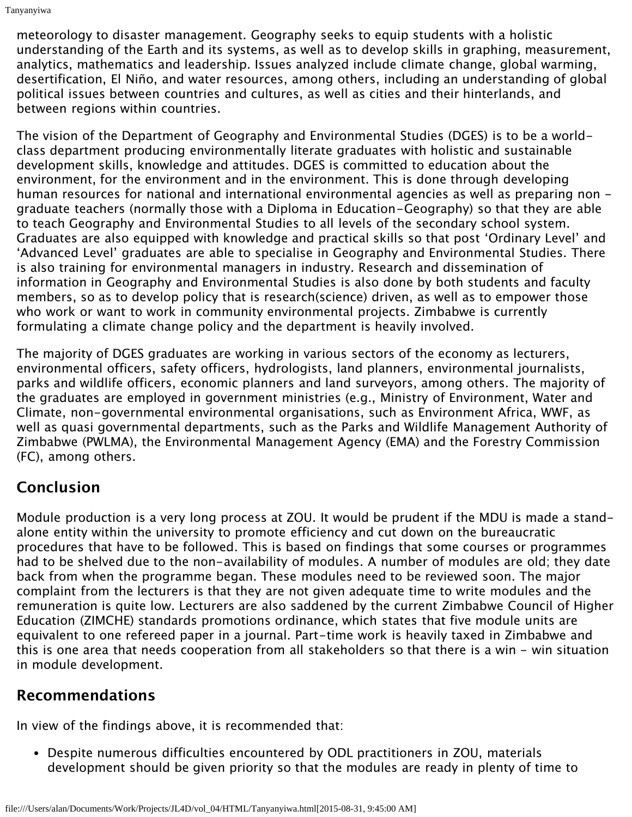meteorology to disaster management. Geography seeks to equip students with a holistic understanding of the Earth and its systems, as well as to develop skills in graphing, measurement, analytics, mathematics and leadership. Issues analyzed include climate change, global warming, desertification, El Niño, and water resources, among others, including an understanding of global political issues between countries and cultures, as well as cities and their hinterlands, and between regions within countries.

The vision of the Department of Geography and Environmental Studies (DGES) is to be a worldclass department producing environmentally literate graduates with holistic and sustainable development skills, knowledge and attitudes. DGES is committed to education about the environment, for the environment and in the environment. This is done through developing human resources for national and international environmental agencies as well as preparing non graduate teachers (normally those with a Diploma in Education-Geography) so that they are able to teach Geography and Environmental Studies to all levels of the secondary school system. Graduates are also equipped with knowledge and practical skills so that post 'Ordinary Level' and 'Advanced Level' graduates are able to specialise in Geography and Environmental Studies. There is also training for environmental managers in industry. Research and dissemination of information in Geography and Environmental Studies is also done by both students and faculty members, so as to develop policy that is research(science) driven, as well as to empower those who work or want to work in community environmental projects. Zimbabwe is currently formulating a climate change policy and the department is heavily involved.

The majority of DGES graduates are working in various sectors of the economy as lecturers, environmental officers, safety officers, hydrologists, land planners, environmental journalists, parks and wildlife officers, economic planners and land surveyors, among others. The majority of the graduates are employed in government ministries (e.g., Ministry of Environment, Water and Climate, non-governmental environmental organisations, such as Environment Africa, WWF, as well as quasi governmental departments, such as the Parks and Wildlife Management Authority of Zimbabwe (PWLMA), the Environmental Management Agency (EMA) and the Forestry Commission (FC), among others.

# **Conclusion**

Module production is a very long process at ZOU. It would be prudent if the MDU is made a standalone entity within the university to promote efficiency and cut down on the bureaucratic procedures that have to be followed. This is based on findings that some courses or programmes had to be shelved due to the non-availability of modules. A number of modules are old; they date back from when the programme began. These modules need to be reviewed soon. The major complaint from the lecturers is that they are not given adequate time to write modules and the remuneration is quite low. Lecturers are also saddened by the current Zimbabwe Council of Higher Education (ZIMCHE) standards promotions ordinance, which states that five module units are equivalent to one refereed paper in a journal. Part-time work is heavily taxed in Zimbabwe and this is one area that needs cooperation from all stakeholders so that there is a win - win situation in module development.

# **Recommendations**

In view of the findings above, it is recommended that:

Despite numerous difficulties encountered by ODL practitioners in ZOU, materials development should be given priority so that the modules are ready in plenty of time to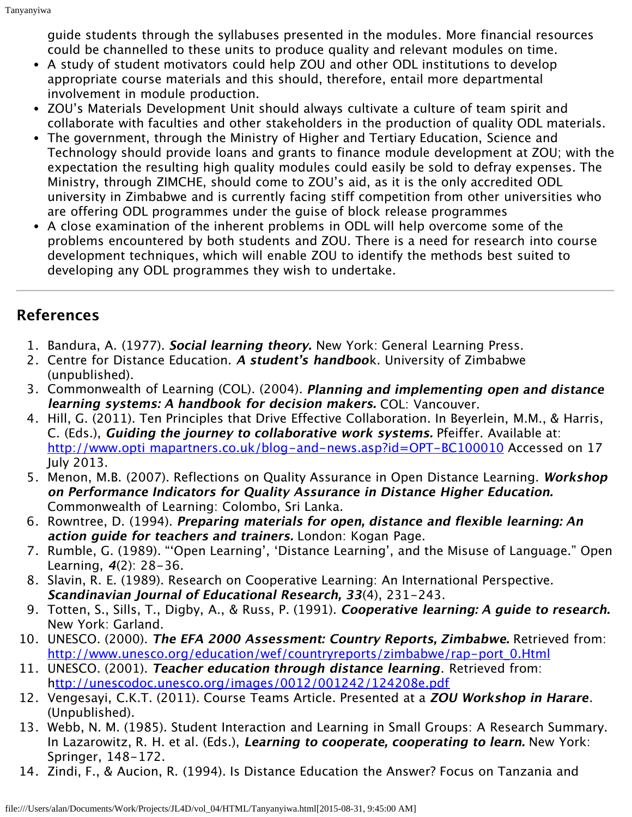guide students through the syllabuses presented in the modules. More financial resources could be channelled to these units to produce quality and relevant modules on time.

- A study of student motivators could help ZOU and other ODL institutions to develop appropriate course materials and this should, therefore, entail more departmental involvement in module production.
- ZOU's Materials Development Unit should always cultivate a culture of team spirit and collaborate with faculties and other stakeholders in the production of quality ODL materials.
- The government, through the Ministry of Higher and Tertiary Education, Science and Technology should provide loans and grants to finance module development at ZOU; with the expectation the resulting high quality modules could easily be sold to defray expenses. The Ministry, through ZIMCHE, should come to ZOU's aid, as it is the only accredited ODL university in Zimbabwe and is currently facing stiff competition from other universities who are offering ODL programmes under the guise of block release programmes
- A close examination of the inherent problems in ODL will help overcome some of the problems encountered by both students and ZOU. There is a need for research into course development techniques, which will enable ZOU to identify the methods best suited to developing any ODL programmes they wish to undertake.

## **References**

- 1. Bandura, A. (1977). **Social learning theory.** New York: General Learning Press.
- 2. Centre for Distance Education. **A student's handboo**k. University of Zimbabwe (unpublished).
- 3. Commonwealth of Learning (COL). (2004). **Planning and implementing open and distance learning systems: A handbook for decision makers.** COL: Vancouver.
- 4. Hill, G. (2011). Ten Principles that Drive Effective Collaboration. In Beyerlein, M.M., & Harris, C. (Eds.), **Guiding the journey to collaborative work systems.** Pfeiffer. Available at: <http://www.opti mapartners.co.uk/blog-and-news.asp?id=OPT-BC100010>Accessed on 17 July 2013.
- 5. Menon, M.B. (2007). Reflections on Quality Assurance in Open Distance Learning. **Workshop on Performance Indicators for Quality Assurance in Distance Higher Education.** Commonwealth of Learning: Colombo, Sri Lanka.
- 6. Rowntree, D. (1994). **Preparing materials for open, distance and flexible learning: An action guide for teachers and trainers.** London: Kogan Page.
- 7. Rumble, G. (1989). "'Open Learning', 'Distance Learning', and the Misuse of Language." Open Learning, **4**(2): 28-36.
- 8. Slavin, R. E. (1989). Research on Cooperative Learning: An International Perspective. **Scandinavian Journal of Educational Research, 33**(4), 231-243.
- 9. Totten, S., Sills, T., Digby, A., & Russ, P. (1991). **Cooperative learning: A guide to research.** New York: Garland.
- 10. UNESCO. (2000). **The EFA 2000 Assessment: Country Reports, Zimbabwe.** Retrieved from: [http://www.unesco.org/education/wef/countryreports/zimbabwe/rap-port\\_0.Html](http://www.unesco.org/education/wef/countryreports/zimbabwe/rap-port_0.Html)
- 11. UNESCO. (2001). **Teacher education through distance learning**. Retrieved from: h<ttp://unescodoc.unesco.org/images/0012/001242/124208e.pdf>
- 12. Vengesayi, C.K.T. (2011). Course Teams Article. Presented at a **ZOU Workshop in Harare**. (Unpublished).
- 13. Webb, N. M. (1985). Student Interaction and Learning in Small Groups: A Research Summary. In Lazarowitz, R. H. et al. (Eds.), **Learning to cooperate, cooperating to learn.** New York: Springer, 148-172.
- 14. Zindi, F., & Aucion, R. (1994). Is Distance Education the Answer? Focus on Tanzania and